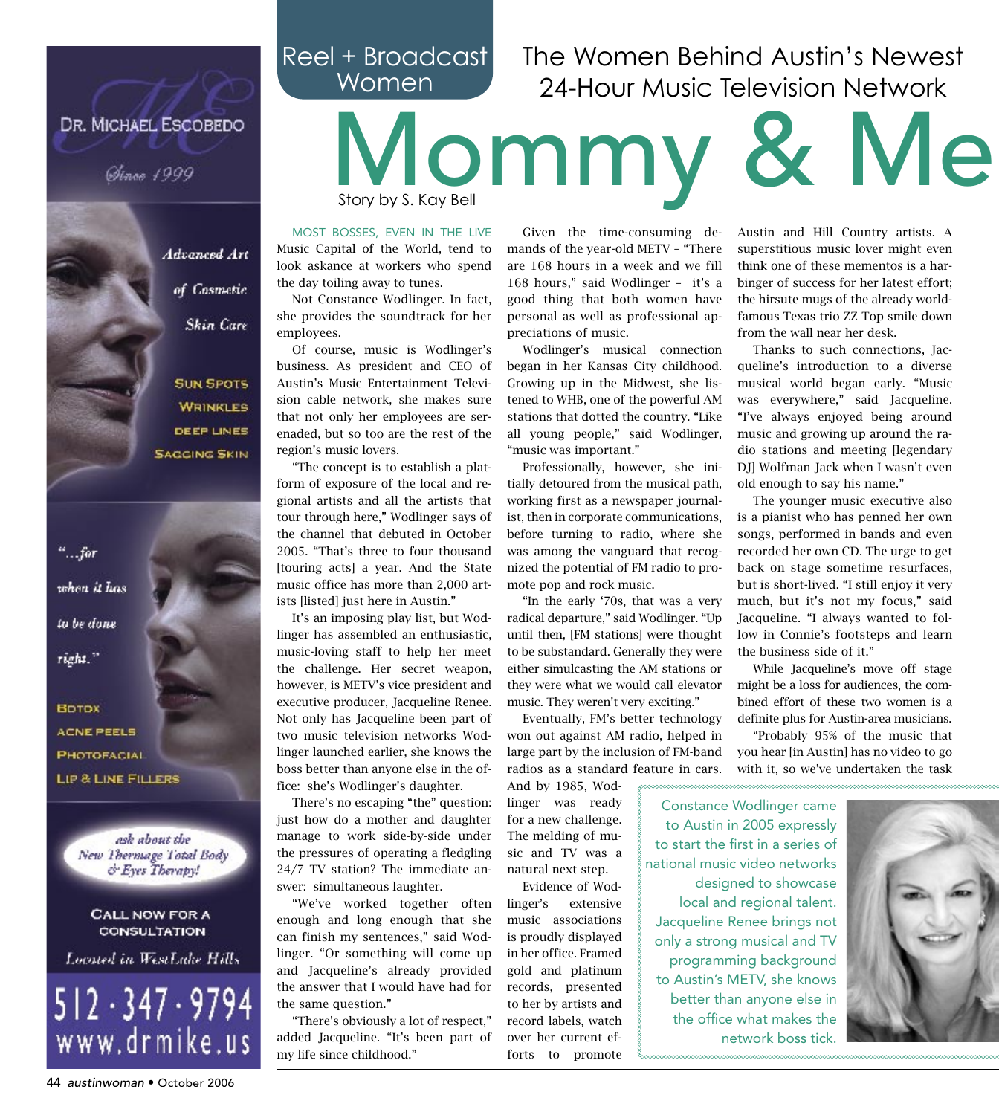### Reel + Broadcast Women

## The Women Behind Austin's Newest 24-Hour Music Television Network

#### DR. MICHAEL ESCOBEDO

Ginee 1999

Advanced Art

of Cosmetic

Skin Care

**SUN SPOTS** 

**WRINKLES** 

**DEEP LINES** 

**SAGGING SKIN** 

# Mommy & Me Story by S. Kay Bell Given the time-consuming de-

MOST BOSSES, EVEN IN THE LIVE

Music Capital of the World, tend to look askance at workers who spend the day toiling away to tunes.

Not Constance Wodlinger. In fact, she provides the soundtrack for her employees.

Of course, music is Wodlinger's business. As president and CEO of Austin's Music Entertainment Television cable network, she makes sure that not only her employees are serenaded, but so too are the rest of the region's music lovers.

"The concept is to establish a platform of exposure of the local and regional artists and all the artists that tour through here," Wodlinger says of the channel that debuted in October 2005. "That's three to four thousand [touring acts] a year. And the State music office has more than 2,000 artists [listed] just here in Austin."

It's an imposing play list, but Wodlinger has assembled an enthusiastic, music-loving staff to help her meet the challenge. Her secret weapon, however, is METV's vice president and executive producer, Jacqueline Renee. Not only has Jacqueline been part of two music television networks Wodlinger launched earlier, she knows the boss better than anyone else in the office: she's Wodlinger's daughter.

There's no escaping "the" question: just how do a mother and daughter manage to work side-by-side under the pressures of operating a fledgling 24/7 TV station? The immediate answer: simultaneous laughter.

"We've worked together often enough and long enough that she can finish my sentences," said Wodlinger. "Or something will come up and Jacqueline's already provided the answer that I would have had for the same question."

"There's obviously a lot of respect," added Jacqueline. "It's been part of my life since childhood."

mands of the year-old METV - "There are 168 hours in a week and we fill 168 hours," said Wodlinger - it's a good thing that both women have personal as well as professional appreciations of music.

Wodlinger's musical connection began in her Kansas City childhood. Growing up in the Midwest, she listened to WHB, one of the powerful AM stations that dotted the country. "Like all young people," said Wodlinger, "music was important."

Professionally, however, she initially detoured from the musical path, working first as a newspaper journalist, then in corporate communications, before turning to radio, where she was among the vanguard that recognized the potential of FM radio to promote pop and rock music.

"In the early '70s, that was a very radical departure," said Wodlinger. "Up until then, [FM stations] were thought to be substandard. Generally they were either simulcasting the AM stations or they were what we would call elevator music. They weren't very exciting."

Eventually, FM's better technology won out against AM radio, helped in large part by the inclusion of FM-band radios as a standard feature in cars.

And by 1985, Wodlinger was ready for a new challenge. The melding of music and TV was a natural next step. Evidence of Wodlinger's extensive music associations is proudly displayed in her office. Framed

gold and platinum records, presented to her by artists and record labels, watch over her current efforts to promote Austin and Hill Country artists. A superstitious music lover might even think one of these mementos is a harbinger of success for her latest effort; the hirsute mugs of the already worldfamous Texas trio ZZ Top smile down from the wall near her desk.

Thanks to such connections. Jacqueline's introduction to a diverse musical world began early. "Music was everywhere," said Jacqueline. "I've always enjoyed being around music and growing up around the radio stations and meeting [legendary DJ] Wolfman Jack when I wasn't even old enough to say his name."

The younger music executive also is a pianist who has penned her own songs, performed in bands and even recorded her own CD. The urge to get back on stage sometime resurfaces, but is short-lived. "I still enjoy it very much, but it's not my focus," said Jacqueline. "I always wanted to follow in Connie's footsteps and learn the business side of it."

While Jacqueline's move off stage might be a loss for audiences, the combined effort of these two women is a definite plus for Austin-area musicians.

"Probably 95% of the music that you hear [in Austin] has no video to go with it, so we've undertaken the task

**Constance Wodlinger came** to Austin in 2005 expressly to start the first in a series of national music video networks designed to showcase local and regional talent. Jacqueline Renee brings not only a strong musical and TV programming background to Austin's METV, she knows better than anyone else in the office what makes the network boss tick.



www.drmike.us

 $\overset{\circ}{\ldots}$  for

when it has

to be done

right."

**BOTOX** 

**ACNE PEELS** 

PHOTOFACIAL

LIP & LINE FILLERS

ask about the

New Thermage Total Body

& Eyes Therapy!

CALL NOW FOR A

CONSULTATION

Located in WestLake Hills

 $512 \cdot 347 \cdot 9794$